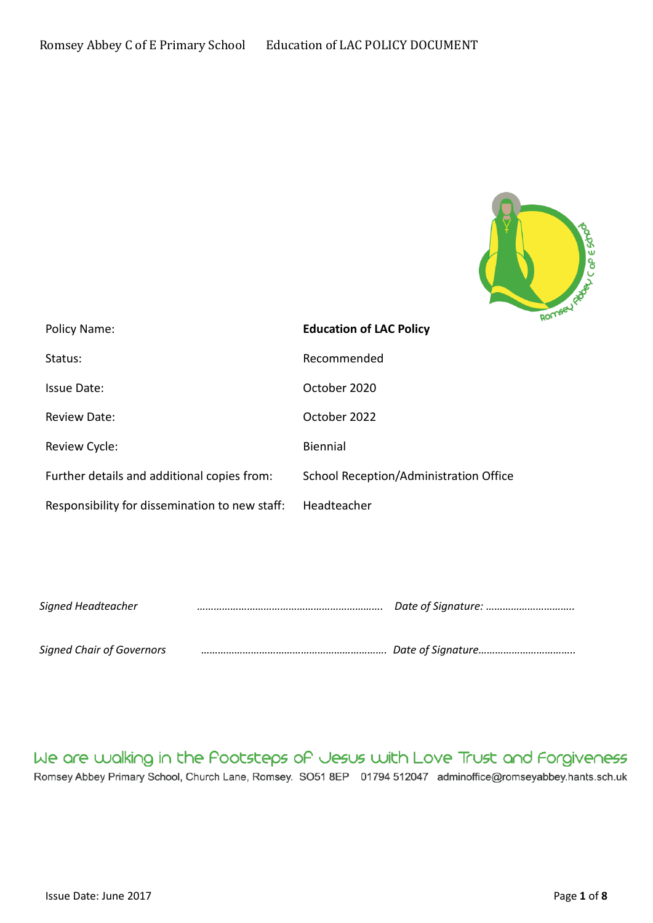

| Policy Name:                                   | <b>Education of LAC Policy</b>         |
|------------------------------------------------|----------------------------------------|
| Status:                                        | Recommended                            |
| Issue Date:                                    | October 2020                           |
| <b>Review Date:</b>                            | October 2022                           |
| Review Cycle:                                  | <b>Biennial</b>                        |
| Further details and additional copies from:    | School Reception/Administration Office |
| Responsibility for dissemination to new staff: | Headteacher                            |

| Signed Headteacher               |  |
|----------------------------------|--|
|                                  |  |
| <b>Signed Chair of Governors</b> |  |

We are walking in the Pootsteps of Jesus with Love Trust and Forgiveness Romsey Abbey Primary School, Church Lane, Romsey. SO51 8EP 01794 512047 adminoffice@romseyabbey.hants.sch.uk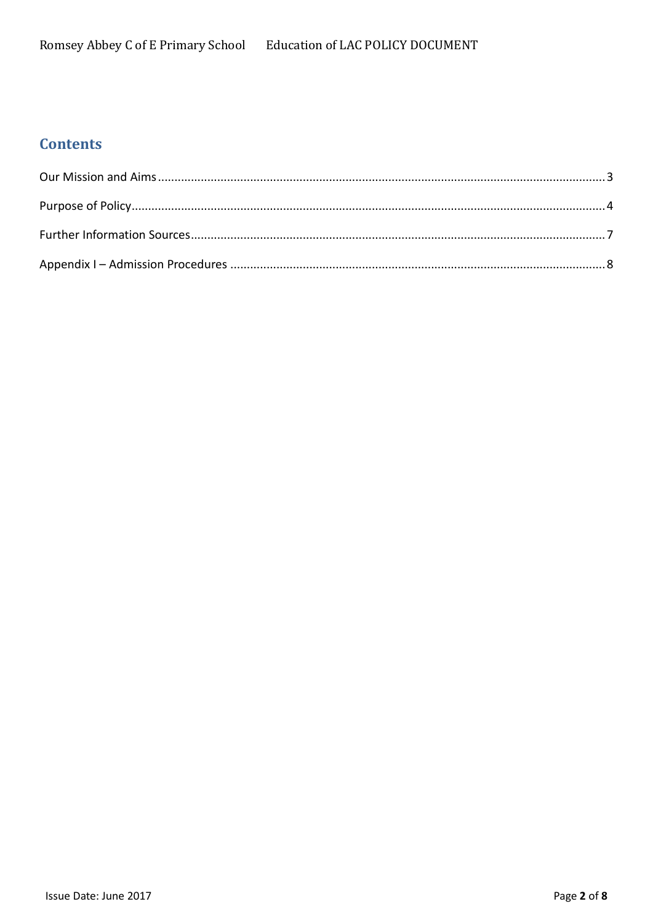# **Contents**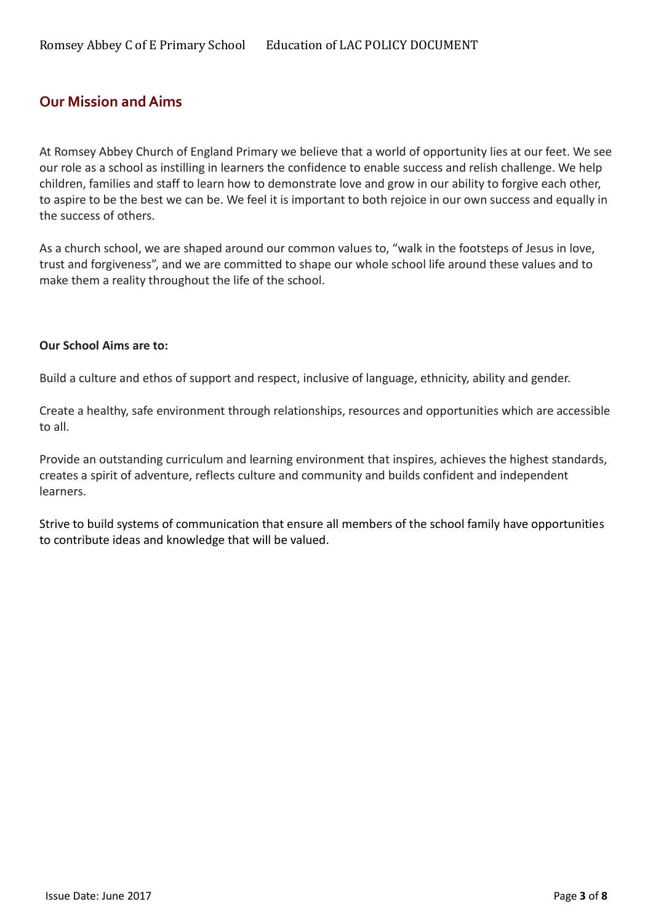### <span id="page-2-0"></span>**Our Mission and Aims**

At Romsey Abbey Church of England Primary we believe that a world of opportunity lies at our feet. We see our role as a school as instilling in learners the confidence to enable success and relish challenge. We help children, families and staff to learn how to demonstrate love and grow in our ability to forgive each other, to aspire to be the best we can be. We feel it is important to both rejoice in our own success and equally in the success of others.

As a church school, we are shaped around our common values to, "walk in the footsteps of Jesus in love, trust and forgiveness", and we are committed to shape our whole school life around these values and to make them a reality throughout the life of the school.

#### **Our School Aims are to:**

Build a culture and ethos of support and respect, inclusive of language, ethnicity, ability and gender.

Create a healthy, safe environment through relationships, resources and opportunities which are accessible to all.

Provide an outstanding curriculum and learning environment that inspires, achieves the highest standards, creates a spirit of adventure, reflects culture and community and builds confident and independent learners.

Strive to build systems of communication that ensure all members of the school family have opportunities to contribute ideas and knowledge that will be valued.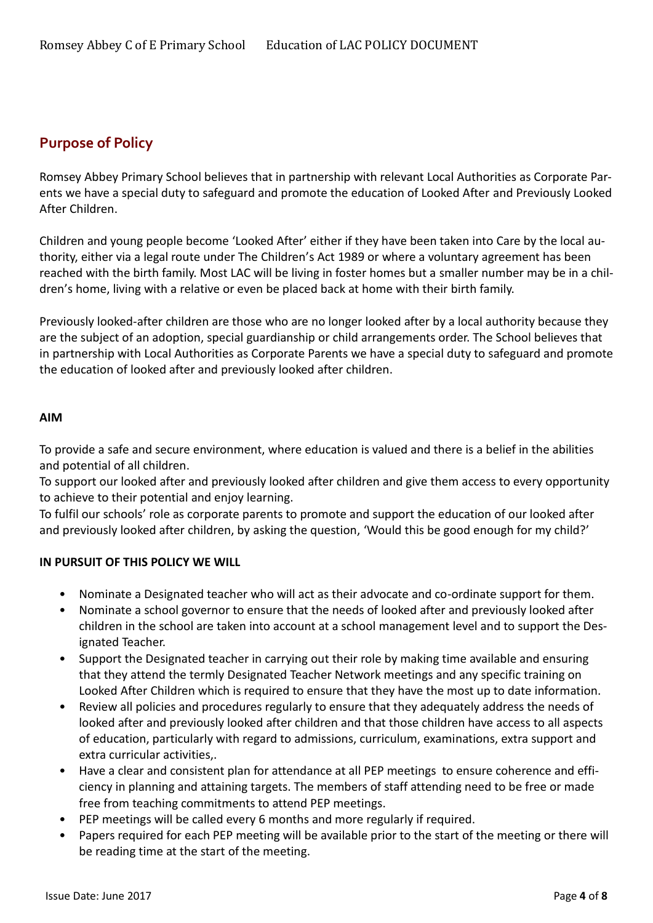## <span id="page-3-0"></span>**Purpose of Policy**

Romsey Abbey Primary School believes that in partnership with relevant Local Authorities as Corporate Parents we have a special duty to safeguard and promote the education of Looked After and Previously Looked After Children.

Children and young people become 'Looked After' either if they have been taken into Care by the local authority, either via a legal route under The Children's Act 1989 or where a voluntary agreement has been reached with the birth family. Most LAC will be living in foster homes but a smaller number may be in a children's home, living with a relative or even be placed back at home with their birth family.

Previously looked-after children are those who are no longer looked after by a local authority because they are the subject of an adoption, special guardianship or child arrangements order. The School believes that in partnership with Local Authorities as Corporate Parents we have a special duty to safeguard and promote the education of looked after and previously looked after children.

#### **AIM**

To provide a safe and secure environment, where education is valued and there is a belief in the abilities and potential of all children.

To support our looked after and previously looked after children and give them access to every opportunity to achieve to their potential and enjoy learning.

To fulfil our schools' role as corporate parents to promote and support the education of our looked after and previously looked after children, by asking the question, 'Would this be good enough for my child?'

### **IN PURSUIT OF THIS POLICY WE WILL**

- Nominate a Designated teacher who will act as their advocate and co-ordinate support for them.
- Nominate a school governor to ensure that the needs of looked after and previously looked after children in the school are taken into account at a school management level and to support the Designated Teacher.
- Support the Designated teacher in carrying out their role by making time available and ensuring that they attend the termly Designated Teacher Network meetings and any specific training on Looked After Children which is required to ensure that they have the most up to date information.
- Review all policies and procedures regularly to ensure that they adequately address the needs of looked after and previously looked after children and that those children have access to all aspects of education, particularly with regard to admissions, curriculum, examinations, extra support and extra curricular activities,.
- Have a clear and consistent plan for attendance at all PEP meetings to ensure coherence and efficiency in planning and attaining targets. The members of staff attending need to be free or made free from teaching commitments to attend PEP meetings.
- PEP meetings will be called every 6 months and more regularly if required.
- Papers required for each PEP meeting will be available prior to the start of the meeting or there will be reading time at the start of the meeting.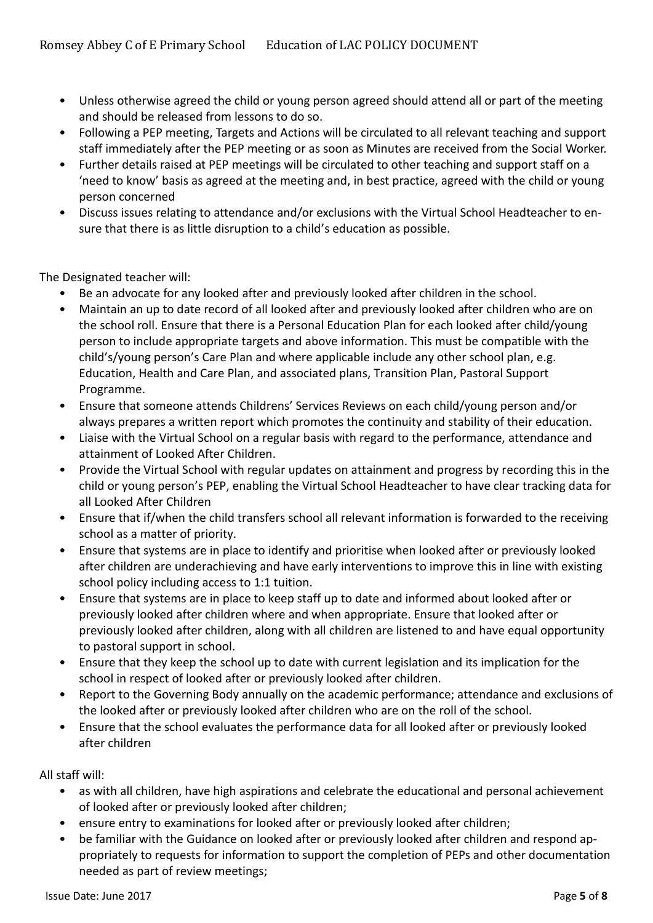- Unless otherwise agreed the child or young person agreed should attend all or part of the meeting and should be released from lessons to do so.
- Following a PEP meeting, Targets and Actions will be circulated to all relevant teaching and support staff immediately after the PEP meeting or as soon as Minutes are received from the Social Worker.
- Further details raised at PEP meetings will be circulated to other teaching and support staff on a 'need to know' basis as agreed at the meeting and, in best practice, agreed with the child or young person concerned
- Discuss issues relating to attendance and/or exclusions with the Virtual School Headteacher to ensure that there is as little disruption to a child's education as possible.

The Designated teacher will:

- Be an advocate for any looked after and previously looked after children in the school.
- Maintain an up to date record of all looked after and previously looked after children who are on the school roll. Ensure that there is a Personal Education Plan for each looked after child/young person to include appropriate targets and above information. This must be compatible with the child's/young person's Care Plan and where applicable include any other school plan, e.g. Education, Health and Care Plan, and associated plans, Transition Plan, Pastoral Support Programme.
- Ensure that someone attends Childrens' Services Reviews on each child/young person and/or always prepares a written report which promotes the continuity and stability of their education.
- Liaise with the Virtual School on a regular basis with regard to the performance, attendance and attainment of Looked After Children.
- Provide the Virtual School with regular updates on attainment and progress by recording this in the child or young person's PEP, enabling the Virtual School Headteacher to have clear tracking data for all Looked After Children
- Ensure that if/when the child transfers school all relevant information is forwarded to the receiving school as a matter of priority.
- Ensure that systems are in place to identify and prioritise when looked after or previously looked after children are underachieving and have early interventions to improve this in line with existing school policy including access to 1:1 tuition.
- Ensure that systems are in place to keep staff up to date and informed about looked after or previously looked after children where and when appropriate. Ensure that looked after or previously looked after children, along with all children are listened to and have equal opportunity to pastoral support in school.
- Ensure that they keep the school up to date with current legislation and its implication for the school in respect of looked after or previously looked after children.
- Report to the Governing Body annually on the academic performance; attendance and exclusions of the looked after or previously looked after children who are on the roll of the school.
- Ensure that the school evaluates the performance data for all looked after or previously looked after children

All staff will:

- as with all children, have high aspirations and celebrate the educational and personal achievement of looked after or previously looked after children;
- ensure entry to examinations for looked after or previously looked after children;
- be familiar with the Guidance on looked after or previously looked after children and respond appropriately to requests for information to support the completion of PEPs and other documentation needed as part of review meetings;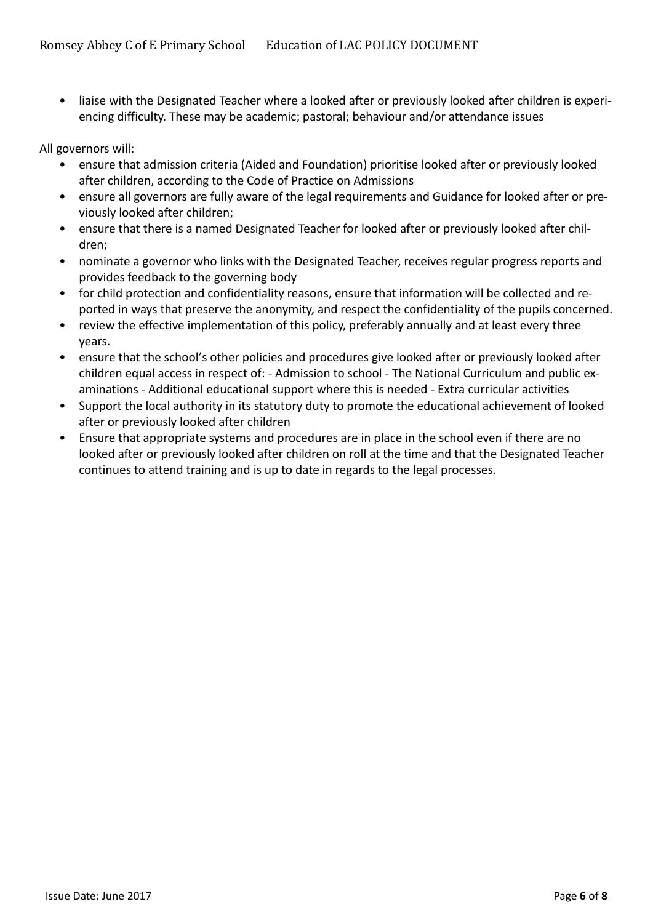• liaise with the Designated Teacher where a looked after or previously looked after children is experiencing difficulty. These may be academic; pastoral; behaviour and/or attendance issues

All governors will:

- ensure that admission criteria (Aided and Foundation) prioritise looked after or previously looked after children, according to the Code of Practice on Admissions
- ensure all governors are fully aware of the legal requirements and Guidance for looked after or previously looked after children;
- ensure that there is a named Designated Teacher for looked after or previously looked after children;
- nominate a governor who links with the Designated Teacher, receives regular progress reports and provides feedback to the governing body
- for child protection and confidentiality reasons, ensure that information will be collected and reported in ways that preserve the anonymity, and respect the confidentiality of the pupils concerned.
- review the effective implementation of this policy, preferably annually and at least every three years.
- ensure that the school's other policies and procedures give looked after or previously looked after children equal access in respect of: - Admission to school - The National Curriculum and public examinations - Additional educational support where this is needed - Extra curricular activities
- Support the local authority in its statutory duty to promote the educational achievement of looked after or previously looked after children
- Ensure that appropriate systems and procedures are in place in the school even if there are no looked after or previously looked after children on roll at the time and that the Designated Teacher continues to attend training and is up to date in regards to the legal processes.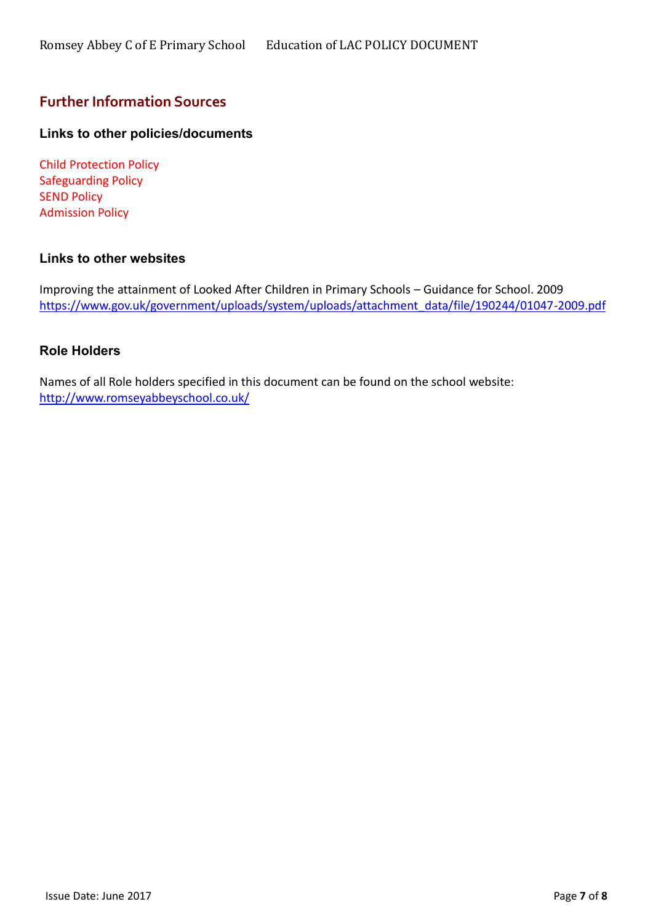### <span id="page-6-0"></span>**Further Information Sources**

### **Links to other policies/documents**

Child Protection Policy Safeguarding Policy SEND Policy Admission Policy

#### **Links to other websites**

Improving the attainment of Looked After Children in Primary Schools – Guidance for School. 2009 [https://www.gov.uk/government/uploads/system/uploads/attachment\\_data/file/190244/01047-2009.pdf](https://www.gov.uk/government/uploads/system/uploads/attachment_data/file/190244/01047-2009.pdf)

#### **Role Holders**

Names of all Role holders specified in this document can be found on the school website: <http://www.romseyabbeyschool.co.uk/>